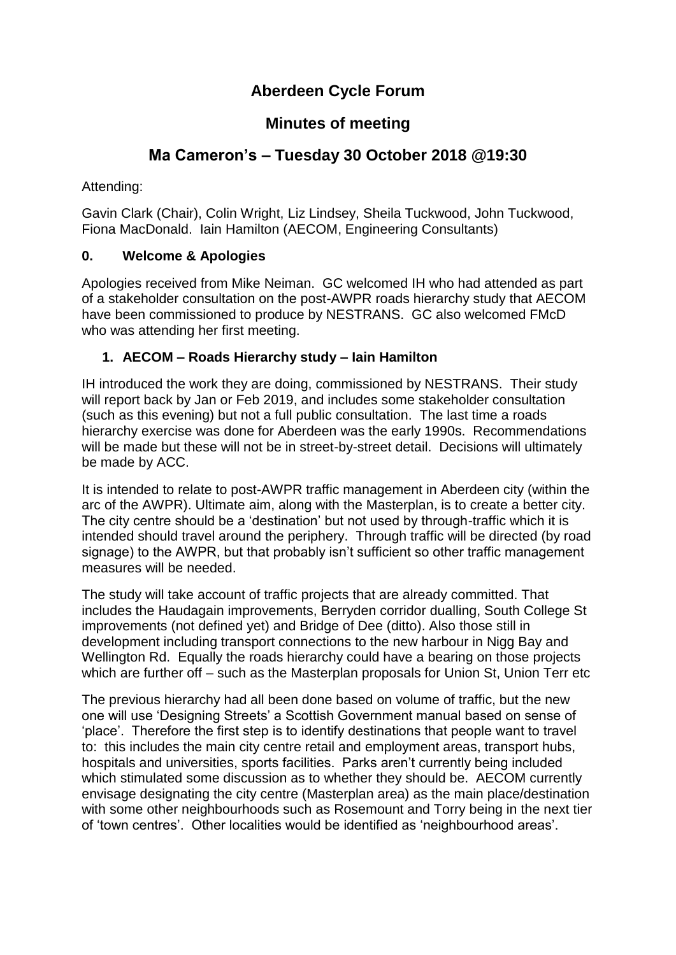# **Aberdeen Cycle Forum**

## **Minutes of meeting**

## **Ma Cameron's – Tuesday 30 October 2018 @19:30**

Attending:

Gavin Clark (Chair), Colin Wright, Liz Lindsey, Sheila Tuckwood, John Tuckwood, Fiona MacDonald. Iain Hamilton (AECOM, Engineering Consultants)

### **0. Welcome & Apologies**

Apologies received from Mike Neiman. GC welcomed IH who had attended as part of a stakeholder consultation on the post-AWPR roads hierarchy study that AECOM have been commissioned to produce by NESTRANS. GC also welcomed FMcD who was attending her first meeting.

#### **1. AECOM – Roads Hierarchy study – Iain Hamilton**

IH introduced the work they are doing, commissioned by NESTRANS. Their study will report back by Jan or Feb 2019, and includes some stakeholder consultation (such as this evening) but not a full public consultation. The last time a roads hierarchy exercise was done for Aberdeen was the early 1990s. Recommendations will be made but these will not be in street-by-street detail. Decisions will ultimately be made by ACC.

It is intended to relate to post-AWPR traffic management in Aberdeen city (within the arc of the AWPR). Ultimate aim, along with the Masterplan, is to create a better city. The city centre should be a 'destination' but not used by through-traffic which it is intended should travel around the periphery. Through traffic will be directed (by road signage) to the AWPR, but that probably isn't sufficient so other traffic management measures will be needed.

The study will take account of traffic projects that are already committed. That includes the Haudagain improvements, Berryden corridor dualling, South College St improvements (not defined yet) and Bridge of Dee (ditto). Also those still in development including transport connections to the new harbour in Nigg Bay and Wellington Rd. Equally the roads hierarchy could have a bearing on those projects which are further off – such as the Masterplan proposals for Union St, Union Terr etc

The previous hierarchy had all been done based on volume of traffic, but the new one will use 'Designing Streets' a Scottish Government manual based on sense of 'place'. Therefore the first step is to identify destinations that people want to travel to: this includes the main city centre retail and employment areas, transport hubs, hospitals and universities, sports facilities. Parks aren't currently being included which stimulated some discussion as to whether they should be. AECOM currently envisage designating the city centre (Masterplan area) as the main place/destination with some other neighbourhoods such as Rosemount and Torry being in the next tier of 'town centres'. Other localities would be identified as 'neighbourhood areas'.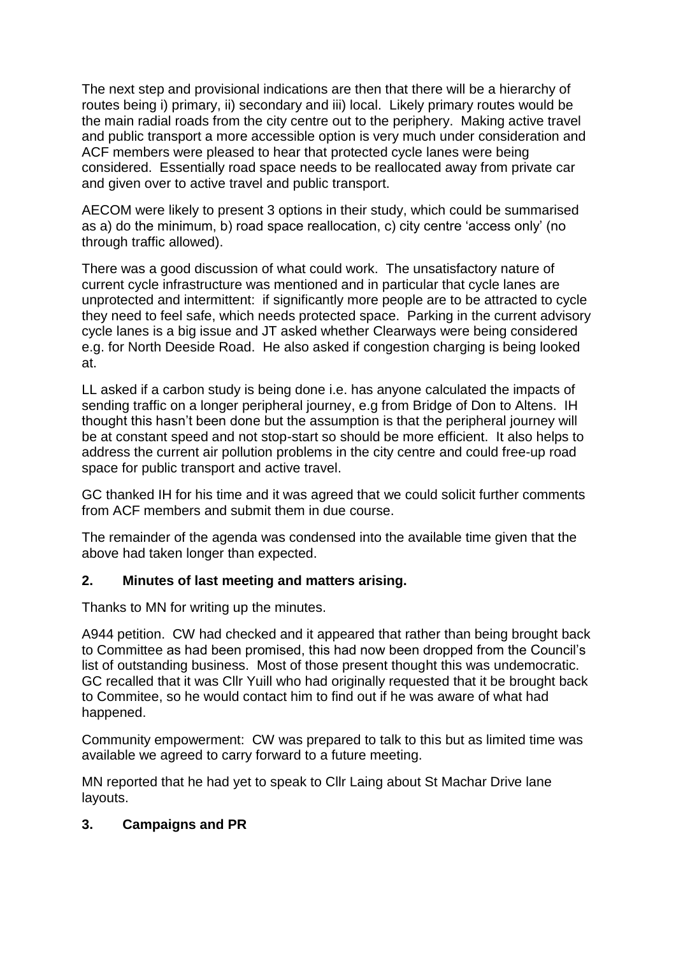The next step and provisional indications are then that there will be a hierarchy of routes being i) primary, ii) secondary and iii) local. Likely primary routes would be the main radial roads from the city centre out to the periphery. Making active travel and public transport a more accessible option is very much under consideration and ACF members were pleased to hear that protected cycle lanes were being considered. Essentially road space needs to be reallocated away from private car and given over to active travel and public transport.

AECOM were likely to present 3 options in their study, which could be summarised as a) do the minimum, b) road space reallocation, c) city centre 'access only' (no through traffic allowed).

There was a good discussion of what could work. The unsatisfactory nature of current cycle infrastructure was mentioned and in particular that cycle lanes are unprotected and intermittent: if significantly more people are to be attracted to cycle they need to feel safe, which needs protected space. Parking in the current advisory cycle lanes is a big issue and JT asked whether Clearways were being considered e.g. for North Deeside Road. He also asked if congestion charging is being looked at.

LL asked if a carbon study is being done i.e. has anyone calculated the impacts of sending traffic on a longer peripheral journey, e.g from Bridge of Don to Altens. IH thought this hasn't been done but the assumption is that the peripheral journey will be at constant speed and not stop-start so should be more efficient. It also helps to address the current air pollution problems in the city centre and could free-up road space for public transport and active travel.

GC thanked IH for his time and it was agreed that we could solicit further comments from ACF members and submit them in due course.

The remainder of the agenda was condensed into the available time given that the above had taken longer than expected.

#### **2. Minutes of last meeting and matters arising.**

Thanks to MN for writing up the minutes.

A944 petition. CW had checked and it appeared that rather than being brought back to Committee as had been promised, this had now been dropped from the Council's list of outstanding business. Most of those present thought this was undemocratic. GC recalled that it was Cllr Yuill who had originally requested that it be brought back to Commitee, so he would contact him to find out if he was aware of what had happened.

Community empowerment: CW was prepared to talk to this but as limited time was available we agreed to carry forward to a future meeting.

MN reported that he had yet to speak to Cllr Laing about St Machar Drive lane layouts.

#### **3. Campaigns and PR**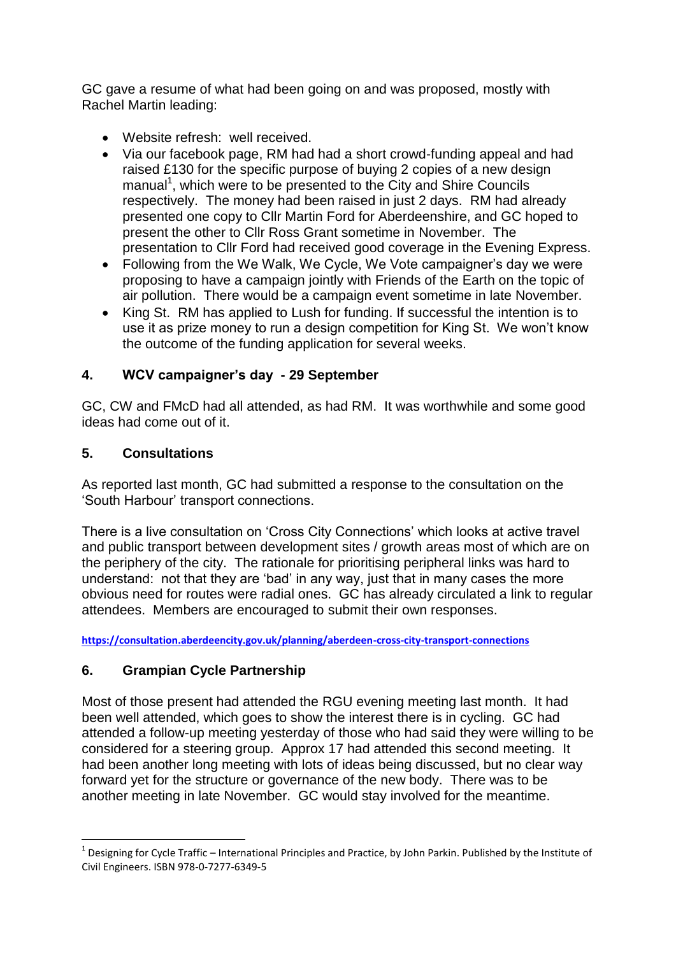GC gave a resume of what had been going on and was proposed, mostly with Rachel Martin leading:

- Website refresh: well received.
- Via our facebook page, RM had had a short crowd-funding appeal and had raised £130 for the specific purpose of buying 2 copies of a new design manual<sup>1</sup>, which were to be presented to the City and Shire Councils respectively. The money had been raised in just 2 days. RM had already presented one copy to Cllr Martin Ford for Aberdeenshire, and GC hoped to present the other to Cllr Ross Grant sometime in November. The presentation to Cllr Ford had received good coverage in the Evening Express.
- Following from the We Walk, We Cycle, We Vote campaigner's day we were proposing to have a campaign jointly with Friends of the Earth on the topic of air pollution. There would be a campaign event sometime in late November.
- King St. RM has applied to Lush for funding. If successful the intention is to use it as prize money to run a design competition for King St. We won't know the outcome of the funding application for several weeks.

#### **4. WCV campaigner's day - 29 September**

GC, CW and FMcD had all attended, as had RM. It was worthwhile and some good ideas had come out of it.

#### **5. Consultations**

1

As reported last month, GC had submitted a response to the consultation on the 'South Harbour' transport connections.

There is a live consultation on 'Cross City Connections' which looks at active travel and public transport between development sites / growth areas most of which are on the periphery of the city. The rationale for prioritising peripheral links was hard to understand: not that they are 'bad' in any way, just that in many cases the more obvious need for routes were radial ones. GC has already circulated a link to regular attendees. Members are encouraged to submit their own responses.

**<https://consultation.aberdeencity.gov.uk/planning/aberdeen-cross-city-transport-connections>**

#### **6. Grampian Cycle Partnership**

Most of those present had attended the RGU evening meeting last month. It had been well attended, which goes to show the interest there is in cycling. GC had attended a follow-up meeting yesterday of those who had said they were willing to be considered for a steering group. Approx 17 had attended this second meeting. It had been another long meeting with lots of ideas being discussed, but no clear way forward yet for the structure or governance of the new body. There was to be another meeting in late November. GC would stay involved for the meantime.

 $^1$  Designing for Cycle Traffic – International Principles and Practice, by John Parkin. Published by the Institute of Civil Engineers. ISBN 978-0-7277-6349-5